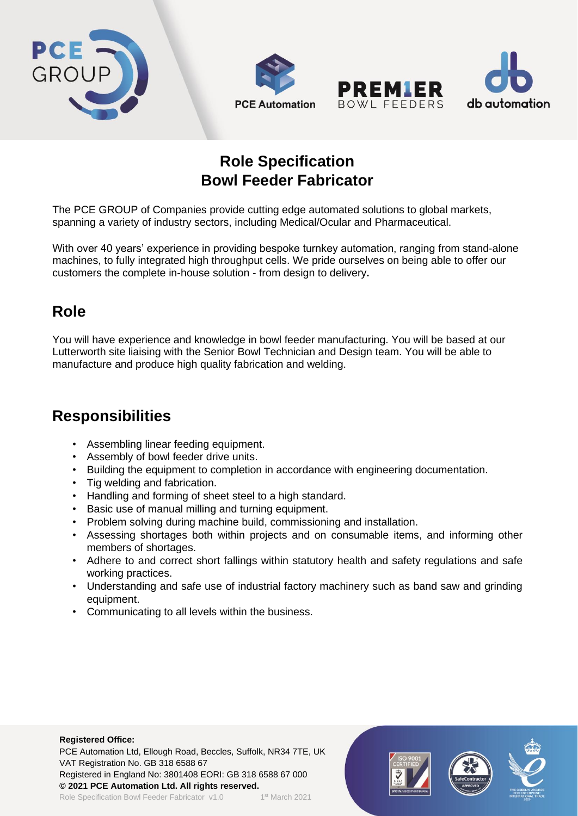







## **Role Specification Bowl Feeder Fabricator**

The PCE GROUP of Companies provide cutting edge automated solutions to global markets, spanning a variety of industry sectors, including Medical/Ocular and Pharmaceutical.

With over 40 years' experience in providing bespoke turnkey automation, ranging from stand-alone machines, to fully integrated high throughput cells. We pride ourselves on being able to offer our customers the complete in-house solution - from design to delivery**.**

### **Role**

You will have experience and knowledge in bowl feeder manufacturing. You will be based at our Lutterworth site liaising with the Senior Bowl Technician and Design team. You will be able to manufacture and produce high quality fabrication and welding.

# **Responsibilities**

- Assembling linear feeding equipment.
- Assembly of bowl feeder drive units.
- Building the equipment to completion in accordance with engineering documentation.
- Tig welding and fabrication.
- Handling and forming of sheet steel to a high standard.
- Basic use of manual milling and turning equipment.
- Problem solving during machine build, commissioning and installation.
- Assessing shortages both within projects and on consumable items, and informing other members of shortages.
- Adhere to and correct short fallings within statutory health and safety regulations and safe working practices.
- Understanding and safe use of industrial factory machinery such as band saw and grinding equipment.
- Communicating to all levels within the business.

#### **Registered Office:**

PCE Automation Ltd, Ellough Road, Beccles, Suffolk, NR34 7TE, UK VAT Registration No. GB 318 6588 67 Registered in England No: 3801408 EORI: GB 318 6588 67 000 **© 2021 PCE Automation Ltd. All rights reserved.** 1st March 2021